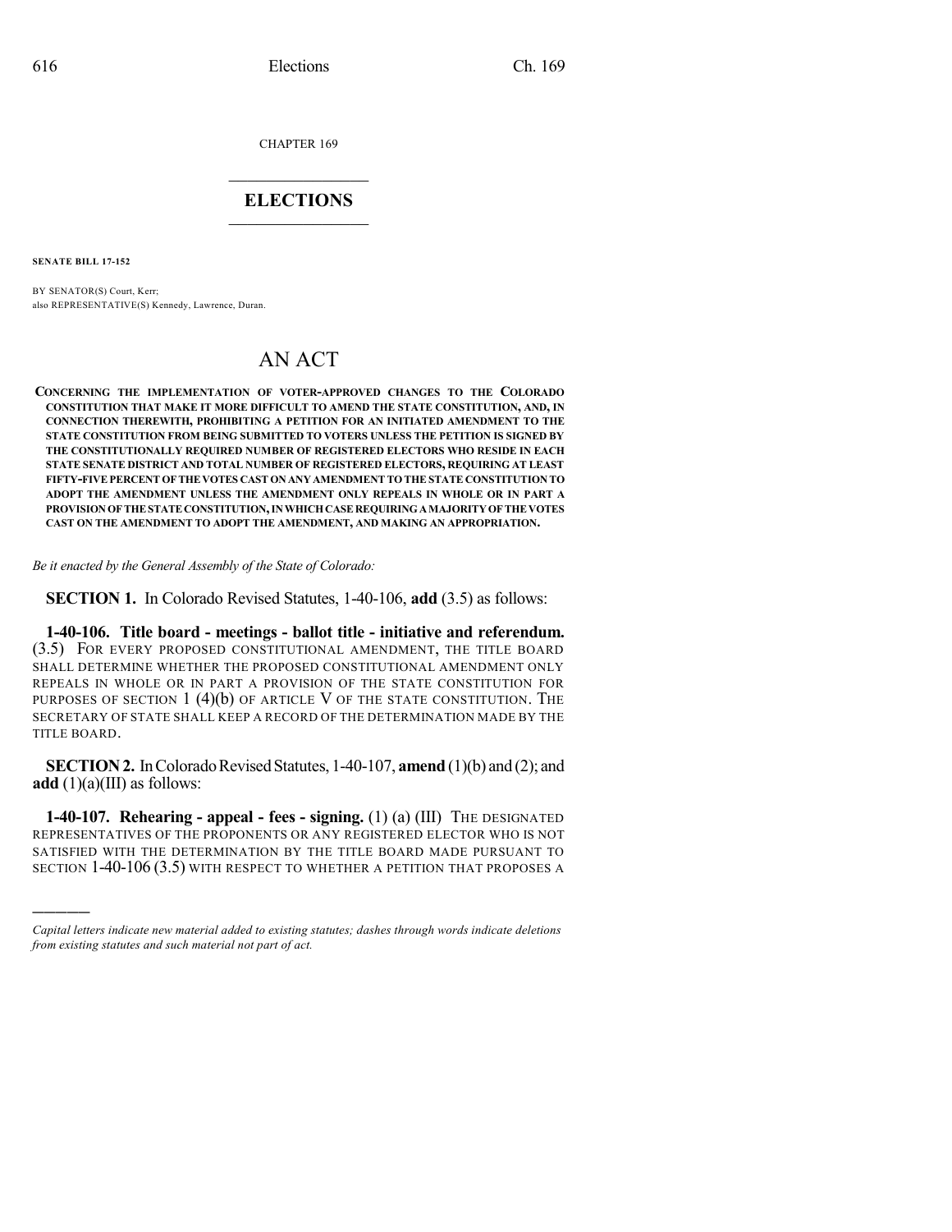CHAPTER 169

## $\mathcal{L}_\text{max}$  . The set of the set of the set of the set of the set of the set of the set of the set of the set of the set of the set of the set of the set of the set of the set of the set of the set of the set of the set **ELECTIONS**  $\_$

**SENATE BILL 17-152**

)))))

BY SENATOR(S) Court, Kerr; also REPRESENTATIVE(S) Kennedy, Lawrence, Duran.

## AN ACT

**CONCERNING THE IMPLEMENTATION OF VOTER-APPROVED CHANGES TO THE COLORADO CONSTITUTION THAT MAKE IT MORE DIFFICULT TO AMEND THE STATE CONSTITUTION, AND, IN CONNECTION THEREWITH, PROHIBITING A PETITION FOR AN INITIATED AMENDMENT TO THE STATE CONSTITUTION FROM BEING SUBMITTED TO VOTERS UNLESS THE PETITION IS SIGNED BY THE CONSTITUTIONALLY REQUIRED NUMBER OF REGISTERED ELECTORS WHO RESIDE IN EACH STATE SENATE DISTRICT AND TOTAL NUMBER OF REGISTERED ELECTORS, REQUIRING AT LEAST FIFTY-FIVEPERCENT OFTHEVOTES CAST ON ANY AMENDMENTTOTHESTATE CONSTITUTION TO ADOPT THE AMENDMENT UNLESS THE AMENDMENT ONLY REPEALS IN WHOLE OR IN PART A PROVISIONOFTHESTATECONSTITUTION,INWHICHCASEREQUIRINGAMAJORITYOFTHEVOTES CAST ON THE AMENDMENT TO ADOPT THE AMENDMENT, AND MAKING AN APPROPRIATION.**

*Be it enacted by the General Assembly of the State of Colorado:*

**SECTION 1.** In Colorado Revised Statutes, 1-40-106, **add** (3.5) as follows:

**1-40-106. Title board - meetings - ballot title - initiative and referendum.** (3.5) FOR EVERY PROPOSED CONSTITUTIONAL AMENDMENT, THE TITLE BOARD SHALL DETERMINE WHETHER THE PROPOSED CONSTITUTIONAL AMENDMENT ONLY REPEALS IN WHOLE OR IN PART A PROVISION OF THE STATE CONSTITUTION FOR PURPOSES OF SECTION 1 (4)(b) OF ARTICLE V OF THE STATE CONSTITUTION. THE SECRETARY OF STATE SHALL KEEP A RECORD OF THE DETERMINATION MADE BY THE TITLE BOARD.

**SECTION 2.** In Colorado Revised Statutes, 1-40-107, **amend** (1)(b) and (2); and **add**  $(1)(a)(III)$  as follows:

**1-40-107. Rehearing - appeal - fees - signing.** (1) (a) (III) THE DESIGNATED REPRESENTATIVES OF THE PROPONENTS OR ANY REGISTERED ELECTOR WHO IS NOT SATISFIED WITH THE DETERMINATION BY THE TITLE BOARD MADE PURSUANT TO SECTION 1-40-106 (3.5) WITH RESPECT TO WHETHER A PETITION THAT PROPOSES A

*Capital letters indicate new material added to existing statutes; dashes through words indicate deletions from existing statutes and such material not part of act.*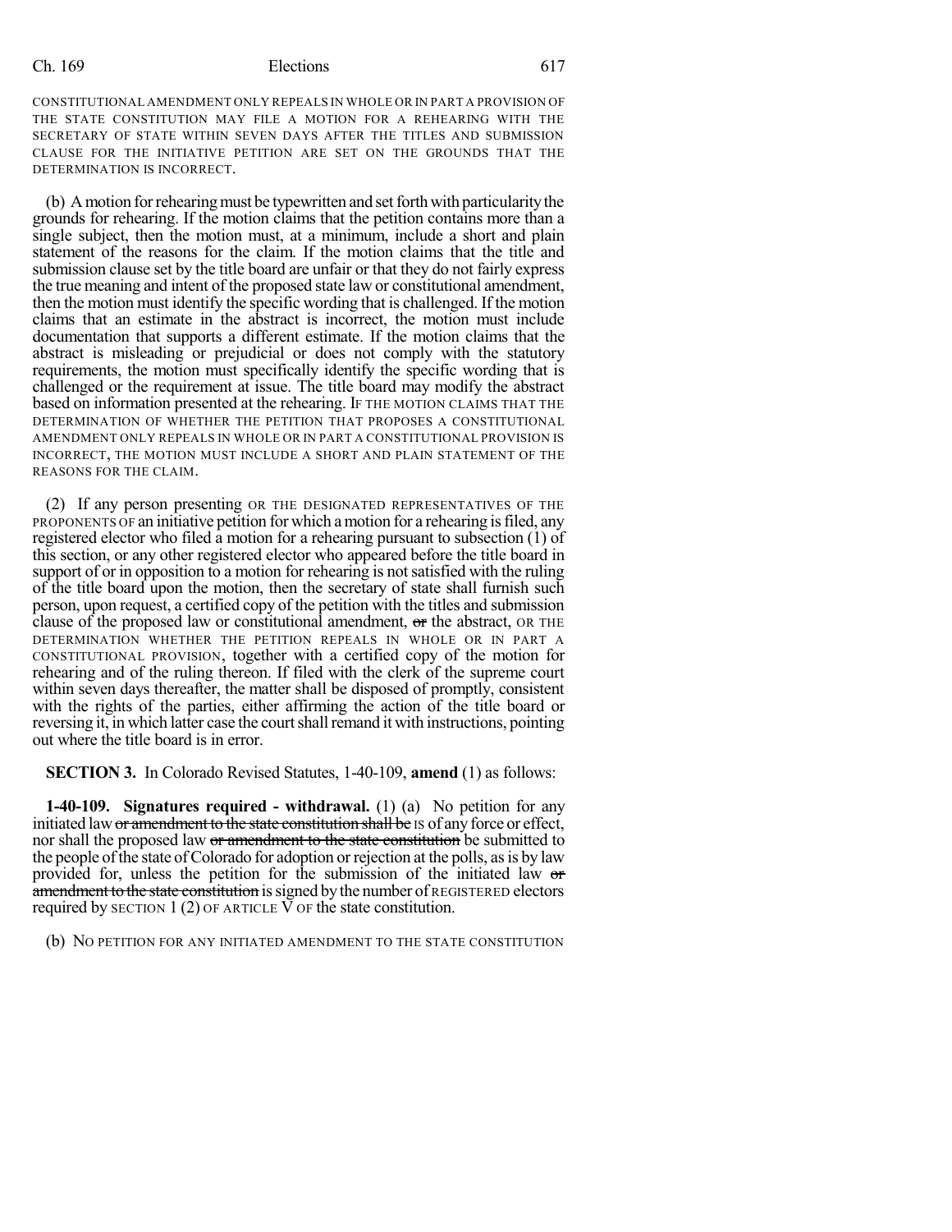## Ch. 169 Elections 617

CONSTITUTIONAL AMENDMENT ONLY REPEALS IN WHOLE OR IN PART A PROVISION OF THE STATE CONSTITUTION MAY FILE A MOTION FOR A REHEARING WITH THE SECRETARY OF STATE WITHIN SEVEN DAYS AFTER THE TITLES AND SUBMISSION CLAUSE FOR THE INITIATIVE PETITION ARE SET ON THE GROUNDS THAT THE DETERMINATION IS INCORRECT.

(b) A motion for rehearing must be typewritten and set forth with particularity the grounds for rehearing. If the motion claims that the petition contains more than a single subject, then the motion must, at a minimum, include a short and plain statement of the reasons for the claim. If the motion claims that the title and submission clause set by the title board are unfair or that they do not fairly express the true meaning and intent of the proposed state law or constitutional amendment, then the motion must identify the specific wording that is challenged. If the motion claims that an estimate in the abstract is incorrect, the motion must include documentation that supports a different estimate. If the motion claims that the abstract is misleading or prejudicial or does not comply with the statutory requirements, the motion must specifically identify the specific wording that is challenged or the requirement at issue. The title board may modify the abstract based on information presented at the rehearing. IF THE MOTION CLAIMS THAT THE DETERMINATION OF WHETHER THE PETITION THAT PROPOSES A CONSTITUTIONAL AMENDMENT ONLY REPEALS IN WHOLE OR IN PART A CONSTITUTIONAL PROVISION IS INCORRECT, THE MOTION MUST INCLUDE A SHORT AND PLAIN STATEMENT OF THE REASONS FOR THE CLAIM.

(2) If any person presenting OR THE DESIGNATED REPRESENTATIVES OF THE PROPONENTS OF an initiative petition for which amotion for a rehearing isfiled, any registered elector who filed a motion for a rehearing pursuant to subsection (1) of this section, or any other registered elector who appeared before the title board in support of or in opposition to a motion for rehearing is not satisfied with the ruling of the title board upon the motion, then the secretary of state shall furnish such person, upon request, a certified copy of the petition with the titles and submission clause of the proposed law or constitutional amendment,  $\sigma$ r the abstract, OR THE DETERMINATION WHETHER THE PETITION REPEALS IN WHOLE OR IN PART A CONSTITUTIONAL PROVISION, together with a certified copy of the motion for rehearing and of the ruling thereon. If filed with the clerk of the supreme court within seven days thereafter, the matter shall be disposed of promptly, consistent with the rights of the parties, either affirming the action of the title board or reversing it, in which latter case the court shall remand it with instructions, pointing out where the title board is in error.

**SECTION 3.** In Colorado Revised Statutes, 1-40-109, **amend** (1) as follows:

**1-40-109. Signatures required - withdrawal.** (1) (a) No petition for any initiated law or amendment to the state constitution shall be IS of any force or effect, nor shall the proposed law or amendment to the state constitution be submitted to the people of the state of Colorado for adoption or rejection at the polls, as is by law provided for, unless the petition for the submission of the initiated law or amendment to the state constitution is signed by the number of REGISTERED electors required by SECTION 1 (2) OF ARTICLE  $\overline{V}$  OF the state constitution.

(b) NO PETITION FOR ANY INITIATED AMENDMENT TO THE STATE CONSTITUTION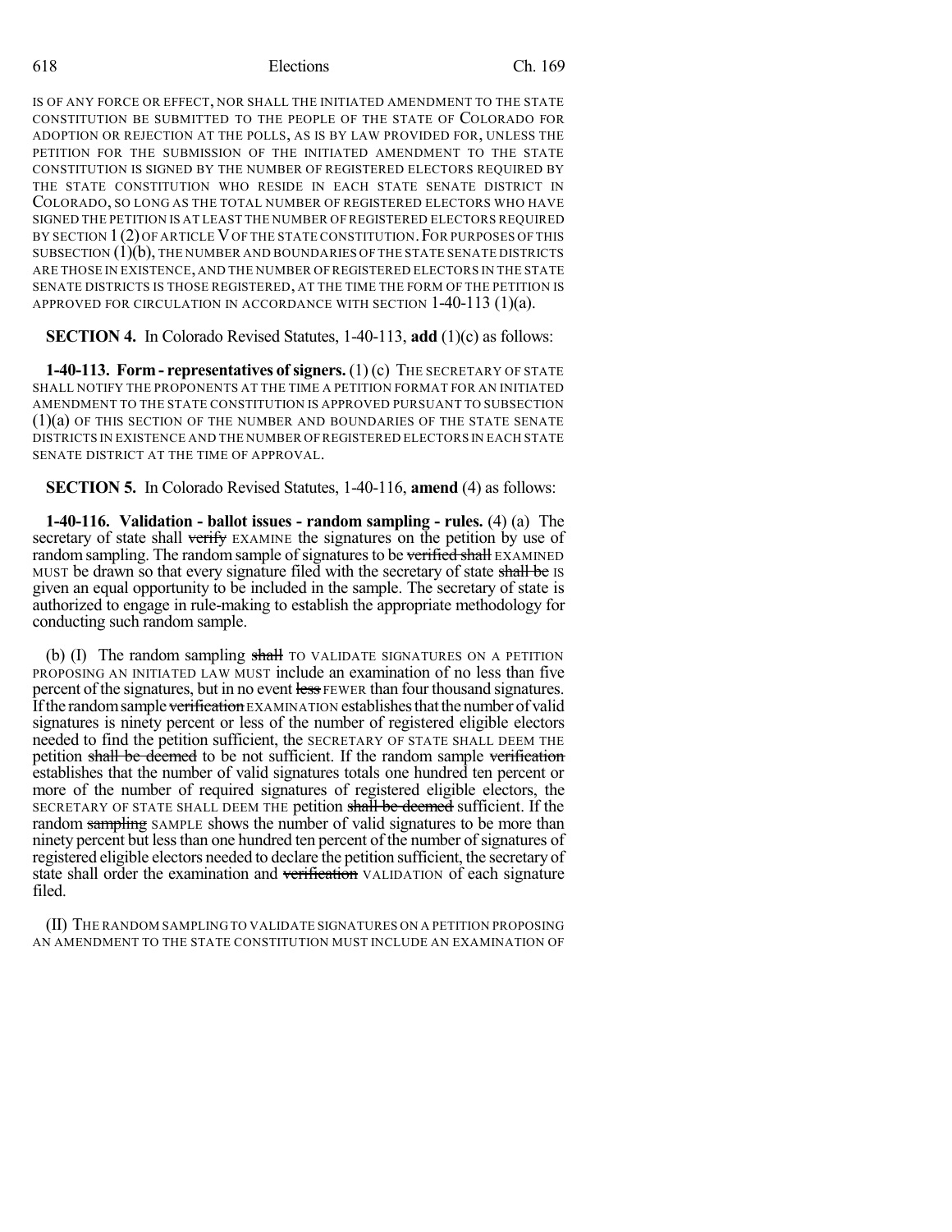618 Elections Ch. 169

IS OF ANY FORCE OR EFFECT, NOR SHALL THE INITIATED AMENDMENT TO THE STATE CONSTITUTION BE SUBMITTED TO THE PEOPLE OF THE STATE OF COLORADO FOR ADOPTION OR REJECTION AT THE POLLS, AS IS BY LAW PROVIDED FOR, UNLESS THE PETITION FOR THE SUBMISSION OF THE INITIATED AMENDMENT TO THE STATE CONSTITUTION IS SIGNED BY THE NUMBER OF REGISTERED ELECTORS REQUIRED BY THE STATE CONSTITUTION WHO RESIDE IN EACH STATE SENATE DISTRICT IN COLORADO, SO LONG AS THE TOTAL NUMBER OF REGISTERED ELECTORS WHO HAVE SIGNED THE PETITION IS AT LEAST THE NUMBER OF REGISTERED ELECTORS REQUIRED BY SECTION 1(2) OF ARTICLE V OF THE STATE CONSTITUTION. FOR PURPOSES OF THIS SUBSECTION  $(1)(b)$ , THE NUMBER AND BOUNDARIES OF THE STATE SENATE DISTRICTS ARE THOSE IN EXISTENCE, AND THE NUMBER OFREGISTERED ELECTORS IN THE STATE SENATE DISTRICTS IS THOSE REGISTERED, AT THE TIME THE FORM OF THE PETITION IS APPROVED FOR CIRCULATION IN ACCORDANCE WITH SECTION  $1-40-113$  (1)(a).

**SECTION 4.** In Colorado Revised Statutes, 1-40-113, **add** (1)(c) as follows:

**1-40-113. Form - representatives of signers.** (1) (c) THE SECRETARY OF STATE SHALL NOTIFY THE PROPONENTS AT THE TIME A PETITION FORMAT FOR AN INITIATED AMENDMENT TO THE STATE CONSTITUTION IS APPROVED PURSUANT TO SUBSECTION (1)(a) OF THIS SECTION OF THE NUMBER AND BOUNDARIES OF THE STATE SENATE DISTRICTS IN EXISTENCE AND THE NUMBER OF REGISTERED ELECTORS IN EACH STATE SENATE DISTRICT AT THE TIME OF APPROVAL.

**SECTION 5.** In Colorado Revised Statutes, 1-40-116, **amend** (4) as follows:

**1-40-116. Validation - ballot issues - random sampling - rules.** (4) (a) The secretary of state shall verify EXAMINE the signatures on the petition by use of random sampling. The random sample of signatures to be verified shall EXAMINED MUST be drawn so that every signature filed with the secretary of state shall be IS given an equal opportunity to be included in the sample. The secretary of state is authorized to engage in rule-making to establish the appropriate methodology for conducting such random sample.

(b) (I) The random sampling shall TO VALIDATE SIGNATURES ON A PETITION PROPOSING AN INITIATED LAW MUST include an examination of no less than five percent of the signatures, but in no event less FEWER than four thousand signatures. If the random sample verification EXAMINATION establishes that the number of valid signatures is ninety percent or less of the number of registered eligible electors needed to find the petition sufficient, the SECRETARY OF STATE SHALL DEEM THE petition shall be deemed to be not sufficient. If the random sample verification establishes that the number of valid signatures totals one hundred ten percent or more of the number of required signatures of registered eligible electors, the SECRETARY OF STATE SHALL DEEM THE petition shall be deemed sufficient. If the random sampling SAMPLE shows the number of valid signatures to be more than ninety percent but lessthan one hundred ten percent of the number ofsignatures of registered eligible electors needed to declare the petition sufficient, the secretary of state shall order the examination and verification VALIDATION of each signature filed.

(II) THE RANDOM SAMPLING TO VALIDATE SIGNATURES ON A PETITION PROPOSING AN AMENDMENT TO THE STATE CONSTITUTION MUST INCLUDE AN EXAMINATION OF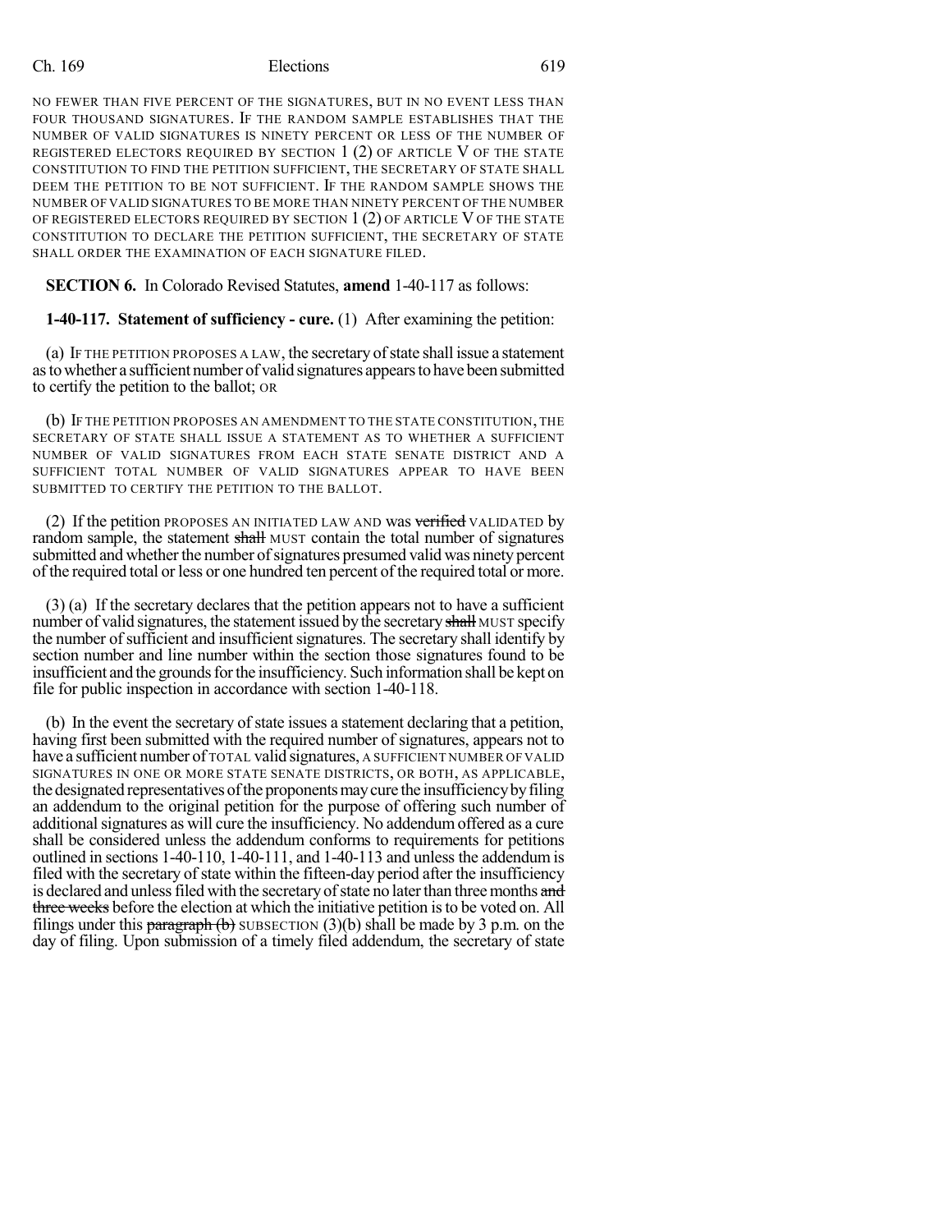## Ch. 169 Elections 619

NO FEWER THAN FIVE PERCENT OF THE SIGNATURES, BUT IN NO EVENT LESS THAN FOUR THOUSAND SIGNATURES. IF THE RANDOM SAMPLE ESTABLISHES THAT THE NUMBER OF VALID SIGNATURES IS NINETY PERCENT OR LESS OF THE NUMBER OF REGISTERED ELECTORS REQUIRED BY SECTION  $1(2)$  of article V of the state CONSTITUTION TO FIND THE PETITION SUFFICIENT, THE SECRETARY OF STATE SHALL DEEM THE PETITION TO BE NOT SUFFICIENT. IF THE RANDOM SAMPLE SHOWS THE NUMBER OF VALID SIGNATURES TO BE MORE THAN NINETY PERCENT OF THE NUMBER OF REGISTERED ELECTORS REQUIRED BY SECTION 1 (2) OF ARTICLE V OF THE STATE CONSTITUTION TO DECLARE THE PETITION SUFFICIENT, THE SECRETARY OF STATE SHALL ORDER THE EXAMINATION OF EACH SIGNATURE FILED.

**SECTION 6.** In Colorado Revised Statutes, **amend** 1-40-117 as follows:

**1-40-117. Statement of sufficiency - cure.** (1) After examining the petition:

(a) IF THE PETITION PROPOSES A LAW, the secretary ofstate shall issue a statement astowhether a sufficient number of valid signatures appearsto have been submitted to certify the petition to the ballot; OR

(b) IF THE PETITION PROPOSES AN AMENDMENT TO THE STATE CONSTITUTION, THE SECRETARY OF STATE SHALL ISSUE A STATEMENT AS TO WHETHER A SUFFICIENT NUMBER OF VALID SIGNATURES FROM EACH STATE SENATE DISTRICT AND A SUFFICIENT TOTAL NUMBER OF VALID SIGNATURES APPEAR TO HAVE BEEN SUBMITTED TO CERTIFY THE PETITION TO THE BALLOT.

(2) If the petition PROPOSES AN INITIATED LAW AND was verified VALIDATED by random sample, the statement shall MUST contain the total number of signatures submitted and whether the number of signatures presumed valid was ninety percent of the required total or less or one hundred ten percent of the required total or more.

(3) (a) If the secretary declares that the petition appears not to have a sufficient number of valid signatures, the statement issued by the secretary shall MUST specify the number of sufficient and insufficient signatures. The secretary shall identify by section number and line number within the section those signatures found to be insufficient and the grounds for the insufficiency. Such information shall be kept on file for public inspection in accordance with section 1-40-118.

(b) In the event the secretary of state issues a statement declaring that a petition, having first been submitted with the required number of signatures, appears not to have a sufficient number of TOTAL valid signatures, A SUFFICIENT NUMBER OF VALID SIGNATURES IN ONE OR MORE STATE SENATE DISTRICTS, OR BOTH, AS APPLICABLE, the designated representatives of the proponents may cure the insufficiency by filing an addendum to the original petition for the purpose of offering such number of additional signatures as will cure the insufficiency. No addendum offered as a cure shall be considered unless the addendum conforms to requirements for petitions outlined in sections 1-40-110, 1-40-111, and 1-40-113 and unless the addendum is filed with the secretary of state within the fifteen-day period after the insufficiency is declared and unless filed with the secretary of state no later than three months and three weeks before the election at which the initiative petition is to be voted on. All filings under this paragraph  $(b)$  SUBSECTION (3)(b) shall be made by 3 p.m. on the day of filing. Upon submission of a timely filed addendum, the secretary of state